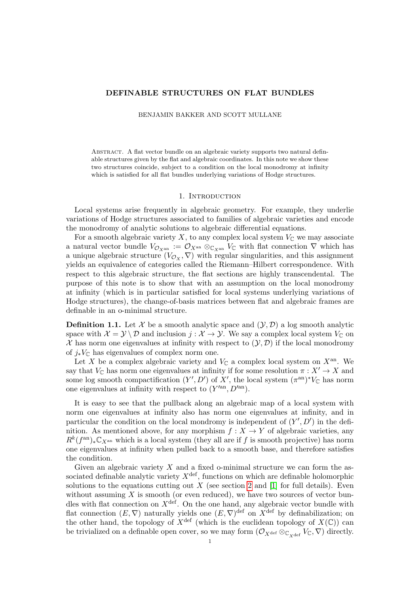# DEFINABLE STRUCTURES ON FLAT BUNDLES

BENJAMIN BAKKER AND SCOTT MULLANE

Abstract. A flat vector bundle on an algebraic variety supports two natural definable structures given by the flat and algebraic coordinates. In this note we show these two structures coincide, subject to a condition on the local monodromy at infinity which is satisfied for all flat bundles underlying variations of Hodge structures.

## 1. INTRODUCTION

Local systems arise frequently in algebraic geometry. For example, they underlie variations of Hodge structures associated to families of algebraic varieties and encode the monodromy of analytic solutions to algebraic differential equations.

For a smooth algebraic variety  $X$ , to any complex local system  $V_{\mathbb{C}}$  we may associate a natural vector bundle  $V_{\mathcal{O}_{X^{\text{an}}}} := \mathcal{O}_{X^{\text{an}}} \otimes_{\mathbb{C}_{X^{\text{an}}}} V_{\mathbb{C}}$  with flat connection  $\nabla$  which has a unique algebraic structure  $(V_{\mathcal{O}_X}, \nabla)$  with regular singularities, and this assignment yields an equivalence of categories called the Riemann–Hilbert correspondence. With respect to this algebraic structure, the flat sections are highly transcendental. The purpose of this note is to show that with an assumption on the local monodromy at infinity (which is in particular satisfied for local systems underlying variations of Hodge structures), the change-of-basis matrices between flat and algebraic frames are definable in an o-minimal structure.

**Definition 1.1.** Let X be a smooth analytic space and  $(\mathcal{Y}, \mathcal{D})$  a log smooth analytic space with  $\mathcal{X} = \mathcal{Y} \setminus \mathcal{D}$  and inclusion  $j : \mathcal{X} \to \mathcal{Y}$ . We say a complex local system  $V_{\mathbb{C}}$  on X has norm one eigenvalues at infinity with respect to  $(\mathcal{Y}, \mathcal{D})$  if the local monodromy of  $i_*V_{\mathbb{C}}$  has eigenvalues of complex norm one.

Let X be a complex algebraic variety and  $V_{\mathbb{C}}$  a complex local system on  $X^{\text{an}}$ . We say that  $V_{\mathbb{C}}$  has norm one eigenvalues at infinity if for some resolution  $\pi: X' \to X$  and some log smooth compactification  $(Y', D')$  of X', the local system  $(\pi^{\text{an}})^* V_{\mathbb{C}}$  has norm one eigenvalues at infinity with respect to  $(Y'^{an}, D'^{an})$ .

It is easy to see that the pullback along an algebraic map of a local system with norm one eigenvalues at infinity also has norm one eigenvalues at infinity, and in particular the condition on the local mondromy is independent of  $(Y', D')$  in the definition. As mentioned above, for any morphism  $f: X \to Y$  of algebraic varieties, any  $R^k(f^{\text{an}})_* \mathbb{C}_{X^{\text{an}}}$  which is a local system (they all are if f is smooth projective) has norm one eigenvalues at infinity when pulled back to a smooth base, and therefore satisfies the condition.

Given an algebraic variety  $X$  and a fixed o-minimal structure we can form the associated definable analytic variety  $X^{\text{def}}$ , functions on which are definable holomorphic solutions to the equations cutting out  $X$  (see section [2](#page-1-0) and [\[1\]](#page-6-0) for full details). Even without assuming  $X$  is smooth (or even reduced), we have two sources of vector bundles with flat connection on  $X^{\text{def}}$ . On the one hand, any algebraic vector bundle with flat connection  $(E, \nabla)$  naturally yields one  $(E, \nabla)$ <sup>def</sup> on  $X^{\text{def}}$  by definabilization; on the other hand, the topology of  $X^{\text{def}}$  (which is the euclidean topology of  $X(\mathbb{C})$ ) can be trivialized on a definable open cover, so we may form  $(\mathcal{O}_{X^{\text{def}}}\otimes_{\mathbb{C}_{X^{\text{def}}}}V_{\mathbb{C}},\nabla)$  directly.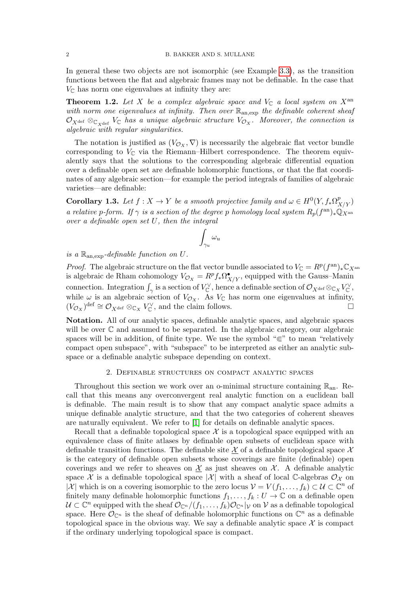In general these two objects are not isomorphic (see Example [3.3\)](#page-6-1), as the transition functions between the flat and algebraic frames may not be definable. In the case that  $V_{\mathbb{C}}$  has norm one eigenvalues at infinity they are:

<span id="page-1-1"></span>**Theorem 1.2.** Let X be a complex algebraic space and  $V_{\mathbb{C}}$  a local system on  $X^{\text{an}}$ with norm one eigenvalues at infinity. Then over  $\mathbb{R}_{an,exp}$  the definable coherent sheaf  $\mathcal{O}_{X^{\mathrm{def}}}\otimes_{\mathbb{C}_{X^{\mathrm{def}}}}V_{\mathbb{C}}$  has a unique algebraic structure  $V_{\mathcal{O}_{X}}.$  Moreover, the connection is algebraic with regular singularities.

The notation is justified as  $(V_{\mathcal{O}_X}, \nabla)$  is necessarily the algebraic flat vector bundle corresponding to  $V_{\mathbb{C}}$  via the Riemann–Hilbert correspondence. The theorem equivalently says that the solutions to the corresponding algebraic differential equation over a definable open set are definable holomorphic functions, or that the flat coordinates of any algebraic section—for example the period integrals of families of algebraic varieties—are definable:

**Corollary 1.3.** Let  $f: X \to Y$  be a smooth projective family and  $\omega \in H^0(Y, f_* \Omega^p_{X/Y})$ a relative p-form. If  $\gamma$  is a section of the degree p homology local system  $R_p(f^{\text{an}})_*\mathbb{Q}_X$ <sub>an</sub> over a definable open set U, then the integral

$$
\int_{\gamma_u} \omega_u
$$

is a  $\mathbb{R}_{\text{an exp}}$ -definable function on U.

*Proof.* The algebraic structure on the flat vector bundle associated to  $V_{\mathbb{C}} = R^p(f^{\text{an}})_* \mathbb{C}_{X^{\text{an}}}$ is algebraic de Rham cohomology  $V_{\mathcal{O}_X} = R^p f_* \Omega^{\bullet}_{X/Y}$ , equipped with the Gauss–Manin connection. Integration  $\int_{\gamma}$  is a section of  $V_{\mathbb{C}}^{\vee}$ , hence a definable section of  $\mathcal{O}_{X^{\mathrm{def}}} \otimes_{\mathbb{C}_X} V_{\mathbb{C}}^{\vee}$ , while  $\omega$  is an algebraic section of  $V_{\mathcal{O}_X}$ . As  $V_{\mathbb{C}}$  has norm one eigenvalues at infinity,  $(V_{\mathcal{O}_X})^{\text{def}} \cong \mathcal{O}_{X^{\text{def}}} \otimes_{\mathbb{C}_X} V_{\mathbb{C}}^{\vee}$ , and the claim follows.

Notation. All of our analytic spaces, definable analytic spaces, and algebraic spaces will be over  $\mathbb C$  and assumed to be separated. In the algebraic category, our algebraic spaces will be in addition, of finite type. We use the symbol " $\in$ " to mean "relatively compact open subspace", with "subspace" to be interpreted as either an analytic subspace or a definable analytic subspace depending on context.

### 2. Definable structures on compact analytic spaces

<span id="page-1-0"></span>Throughout this section we work over an o-minimal structure containing  $\mathbb{R}_{an}$ . Recall that this means any overconvergent real analytic function on a euclidean ball is definable. The main result is to show that any compact analytic space admits a unique definable analytic structure, and that the two categories of coherent sheaves are naturally equivalent. We refer to [\[1\]](#page-6-0) for details on definable analytic spaces.

Recall that a definable topological space  $\mathcal X$  is a topological space equipped with an equivalence class of finite atlases by definable open subsets of euclidean space with definable transition functions. The definable site  $\chi$  of a definable topological space  $\chi$ is the category of definable open subsets whose coverings are finite (definable) open coverings and we refer to sheaves on  $\mathcal X$  as just sheaves on  $\mathcal X$ . A definable analytic space X is a definable topological space |X| with a sheaf of local C-algebras  $\mathcal{O}_\mathcal{X}$  on  $|\mathcal{X}|$  which is on a covering isomorphic to the zero locus  $\mathcal{V} = V(f_1, \ldots, f_k) \subset \mathcal{U} \subset \mathbb{C}^n$  of finitely many definable holomorphic functions  $f_1, \ldots, f_k : U \to \mathbb{C}$  on a definable open  $\mathcal{U}\subset\mathbb{C}^n$  equipped with the sheaf  $\mathcal{O}_{\mathbb{C}^n}/(f_1,\ldots,f_k)\mathcal{O}_{\mathbb{C}^n}|_{\mathcal{V}}$  on  $\mathcal{V}$  as a definable topological space. Here  $\mathcal{O}_{\mathbb{C}^n}$  is the sheaf of definable holomorphic functions on  $\mathbb{C}^n$  as a definable topological space in the obvious way. We say a definable analytic space  $\mathcal X$  is compact if the ordinary underlying topological space is compact.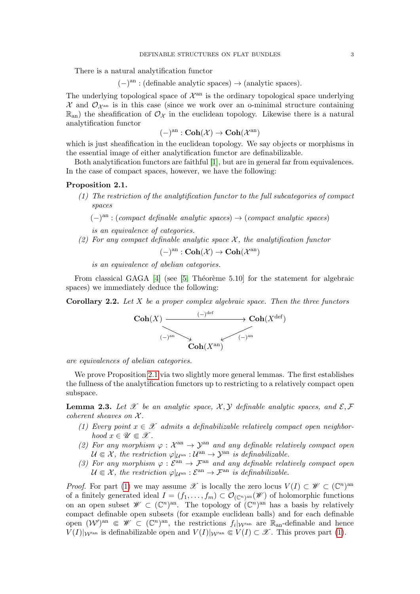There is a natural analytification functor

 $(-)^{an}$ : (definable analytic spaces)  $\rightarrow$  (analytic spaces).

The underlying topological space of  $\mathcal{X}^{\text{an}}$  is the ordinary topological space underlying  $\mathcal{X}$  and  $\mathcal{O}_{\mathcal{X}^{an}}$  is in this case (since we work over an o-minimal structure containing  $\mathbb{R}_{\text{an}}$ ) the sheafification of  $\mathcal{O}_{\mathcal{X}}$  in the euclidean topology. Likewise there is a natural analytification functor

 $(-)^{\text{an}} : \text{Coh}(\mathcal{X}) \to \text{Coh}(\mathcal{X}^{\text{an}})$ 

which is just sheafification in the euclidean topology. We say objects or morphisms in the essential image of either analytification functor are definabilizable.

Both analytification functors are faithful [\[1\]](#page-6-0), but are in general far from equivalences. In the case of compact spaces, however, we have the following:

## <span id="page-2-5"></span><span id="page-2-0"></span>Proposition 2.1.

(1) The restriction of the analytification functor to the full subcategories of compact spaces

 $(-)^{an}$ : (compact definable analytic spaces)  $\rightarrow$  (compact analytic spaces)

is an equivalence of categories.

(2) For any compact definable analytic space  $\mathcal{X}$ , the analytification functor

 $(-)^{\text{an}} : \text{Coh}(\mathcal{X}) \to \text{Coh}(\mathcal{X}^{\text{an}})$ 

is an equivalence of abelian categories.

From classical GAGA  $[4]$  (see [\[5,](#page-6-3) Théorème 5.10] for the statement for algebraic spaces) we immediately deduce the following:

**Corollary 2.2.** Let  $X$  be a proper complex algebraic space. Then the three functors



are equivalences of abelian categories.

We prove Proposition [2.1](#page-2-0) via two slightly more general lemmas. The first establishes the fullness of the analytification functors up to restricting to a relatively compact open subspace.

<span id="page-2-4"></span>**Lemma 2.3.** Let  $\mathscr X$  be an analytic space,  $\mathscr X, \mathscr Y$  definable analytic spaces, and  $\mathscr E, \mathscr F$ coherent sheaves on  $\mathcal{X}$ .

- <span id="page-2-1"></span>(1) Every point  $x \in \mathcal{X}$  admits a definabilizable relatively compact open neighborhood  $x \in \mathscr{U} \Subset \mathscr{X}$ .
- <span id="page-2-2"></span>(2) For any morphism  $\varphi : \mathcal{X}^{an} \to \mathcal{Y}^{an}$  and any definable relatively compact open  $\mathcal{U} \in \mathcal{X}$ , the restriction  $\varphi|_{\mathcal{U}^{\rm an}} : \mathcal{U}^{\rm an} \to \mathcal{Y}^{\rm an}$  is definabilizable.
- <span id="page-2-3"></span>(3) For any morphism  $\varphi : \mathcal{E}^{an} \to \mathcal{F}^{an}$  and any definable relatively compact open  $\mathcal{U} \in \mathcal{X}$ , the restriction  $\varphi|_{\mathcal{U}^{\rm an}} : \mathcal{E}^{\rm an} \to \mathcal{F}^{\rm an}$  is definabilizable.

*Proof.* For part [\(1\)](#page-2-1) we may assume X is locally the zero locus  $V(I) \subset W \subset (\mathbb{C}^n)^{\text{an}}$ of a finitely generated ideal  $I = (f_1, \ldots, f_m) \subset \mathcal{O}_{(\mathbb{C}^n)^{\text{an}}}(\mathscr{W})$  of holomorphic functions on an open subset  $\mathscr{W} \subset (\mathbb{C}^n)^{\text{an}}$ . The topology of  $(\mathbb{C}^n)^{\text{an}}$  has a basis by relatively compact definable open subsets (for example euclidean balls) and for each definable open  $(W')^{\text{an}} \in \mathscr{W} \subset (\mathbb{C}^n)^{\text{an}}$ , the restrictions  $f_i|_{W'^{\text{an}}}$  are  $\mathbb{R}_{\text{an}}$ -definable and hence  $V(I)|_{\mathcal{W}^{\text{an}}}$  is definabilizable open and  $V(I)|_{\mathcal{W}^{\text{an}}} \in V(I) \subset \mathcal{X}$ . This proves part [\(1\)](#page-2-1).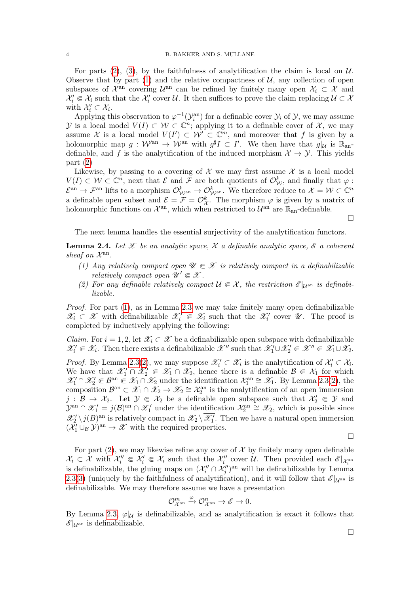For parts [\(2\)](#page-2-2), [\(3\)](#page-2-3), by the faithfulness of analytification the claim is local on  $\mathcal{U}$ . Observe that by part  $(1)$  and the relative compactness of  $\mathcal{U}$ , any collection of open subspaces of  $\mathcal{X}^{\text{an}}$  covering  $\mathcal{U}^{\text{an}}$  can be refined by finitely many open  $\mathcal{X}_i \subset \mathcal{X}$  and  $\mathcal{X}'_i \in \mathcal{X}_i$  such that the  $\mathcal{X}'_i$  cover U. It then suffices to prove the claim replacing  $\mathcal{U} \subset \mathcal{X}$ with  $\mathcal{X}'_i \subset \mathcal{X}_i$ .

Applying this observation to  $\varphi^{-1}(\mathcal{Y}_i^{\text{an}})$  for a definable cover  $\mathcal{Y}_i$  of  $\mathcal{Y}$ , we may assume y is a local model  $V(I)$  ⊂  $W \subset \mathbb{C}^n$ ; applying it to a definable cover of  $\mathcal{X}$ , we may assume X is a local model  $V(I') \subset W' \subset \mathbb{C}^m$ , and moreover that f is given by a holomorphic map  $g: \mathcal{W}^{\text{an}} \to \mathcal{W}^{\text{an}}$  with  $g^{\sharp}I \subset I'$ . We then have that  $g|_{\mathcal{U}}$  is  $\mathbb{R}_{\text{an}}$ definable, and f is the analytification of the induced morphism  $\mathcal{X} \to \mathcal{Y}$ . This yields part [\(2\)](#page-2-2)

Likewise, by passing to a covering of  $\mathcal X$  we may first assume  $\mathcal X$  is a local model  $V(I) \subset \mathcal{W} \subset \mathbb{C}^n$ , next that  $\mathcal E$  and  $\mathcal F$  are both quotients of  $\mathcal{O}_{\mathcal{W}}^k$ , and finally that  $\varphi$ :  $\mathcal{E}^{\text{an}} \to \mathcal{F}^{\text{an}}$  lifts to a morphism  $\mathcal{O}_{\mathcal{W}^{\text{an}}}^k \to \mathcal{O}_{\mathcal{W}^{\text{an}}}^k$ . We therefore reduce to  $\mathcal{X} = \mathcal{W} \subset \mathbb{C}^n$ a definable open subset and  $\mathcal{E} = \mathcal{F} = \mathcal{O}_{\mathcal{X}}^k$ . The morphism  $\varphi$  is given by a matrix of holomorphic functions on  $\mathcal{X}^{an}$ , which when restricted to  $\mathcal{U}^{an}$  are  $\mathbb{R}_{an}$ -definable.

 $\Box$ 

The next lemma handles the essential surjectivity of the analytification functors.

<span id="page-3-2"></span>**Lemma 2.4.** Let X be an analytic space, X a definable analytic space,  $\mathcal{E}$  a coherent sheaf on  $\mathcal{X}^{\text{an}}$ .

- <span id="page-3-0"></span>(1) Any relatively compact open  $\mathscr{U} \in \mathscr{X}$  is relatively compact in a definabilizable relatively compact open  $\mathscr{U}' \in \mathscr{X}$ .
- <span id="page-3-1"></span>(2) For any definable relatively compact  $U \\\in \mathcal{X}$ , the restriction  $\mathscr{E}|_{U^{\rm an}}$  is definabilizable.

*Proof.* For part  $(1)$ , as in Lemma [2.3](#page-2-4) we may take finitely many open definabilizable  $\mathscr{X}_i \subset \mathscr{X}$  with definabilizable  $\mathscr{X}'_i \Subset \mathscr{X}_i$  such that the  $\mathscr{X}'_i$  cover  $\mathscr{U}$ . The proof is completed by inductively applying the following:

*Claim.* For  $i = 1, 2$ , let  $\mathscr{X}_i \subset \mathscr{X}$  be a definabilizable open subspace with definabilizable  $\mathscr{X}'_i \in \mathscr{X}_i$ . Then there exists a definabilizable  $\mathscr{X}''$  such that  $\mathscr{X}'_1 \cup \mathscr{X}'_2 \in \mathscr{X}'' \in \mathscr{X}_1 \cup \mathscr{X}_2$ .

*Proof.* By Lemma [2.3\(](#page-2-4)[2\)](#page-2-2), we may suppose  $\mathscr{X}'_i \subset \mathscr{X}_i$  is the analytification of  $\mathscr{X}'_i \subset \mathscr{X}_i$ . We have that  $\mathscr{X}'_1 \cap \mathscr{X}'_2 \in \mathscr{X}_1 \cap \mathscr{X}_2$ , hence there is a definable  $\mathcal{B} \in \mathscr{X}_1$  for which  $\mathscr{X}'_1 \cap \mathscr{X}'_2 \in \mathcal{B}^{an} \subseteq \mathscr{X}_1 \cap \mathscr{X}_2$  under the identification  $\mathcal{X}^{an}_1 \cong \mathscr{X}_1$ . By Lemma [2.3](#page-2-4)[\(2\)](#page-2-2), the composition  $\mathcal{B}^{\text{an}} \subset \mathscr{X}_1 \cap \mathscr{X}_2 \to \mathscr{X}_2 \cong \mathscr{X}_2^{\text{an}}$  is the analytification of an open immersion  $j : \mathcal{B} \to \mathcal{X}_2$ . Let  $\mathcal{Y} \in \mathcal{X}_2$  be a definable open subspace such that  $\mathcal{X}'_2 \in \mathcal{Y}$  and  $\mathcal{Y}^{\text{an}} \cap \mathcal{X}'_1 = j(\mathcal{B})^{\text{an}} \cap \mathcal{X}'_1$  under the identification  $\mathcal{X}_2^{\text{an}} \cong \mathcal{X}_2$ , which is possible since  $\mathscr{X}_2' \setminus j(B)$ <sup>an</sup> is relatively compact in  $\mathscr{X}_2 \setminus \overline{\mathscr{X}_1'}$ . Then we have a natural open immersion  $({\mathcal X}_1' \cup_{\mathcal B} {\mathcal Y})^{\rm an} \to {\mathcal X}$  with the required properties.

 $\Box$ 

For part  $(2)$ , we may likewise refine any cover of  $\mathcal X$  by finitely many open definable  $\mathcal{X}_i \subset \mathcal{X}$  with  $\mathcal{X}_i'' \in \mathcal{X}_i \subset \mathcal{X}_i$  such that the  $\mathcal{X}_i''$  cover  $\mathcal{U}$ . Then provided each  $\mathcal{E}|_{\mathcal{X}_i^{an}}$ is definabilizable, the gluing maps on  $(\mathcal{X}_i'' \cap \mathcal{X}_j'')^{\text{an}}$  will be definabilizable by Lemma [2.3\(](#page-2-4)[3\)](#page-2-3) (uniquely by the faithfulness of analytification), and it will follow that  $\mathscr{E}|_{\mathcal{U}^{\rm an}}$  is definabilizable. We may therefore assume we have a presentation

$$
\mathcal{O}_{\mathcal{X}^{\rm an}}^m \xrightarrow{\varphi} \mathcal{O}_{\mathcal{X}^{\rm an}}^n \to \mathscr{E} \to 0.
$$

By Lemma [2.3,](#page-2-4)  $\varphi|_{\mathcal{U}}$  is definabilizable, and as analytification is exact it follows that  $\mathscr{E}|_{\mathcal{U}^{\mathrm{an}}}$  is definabilizable.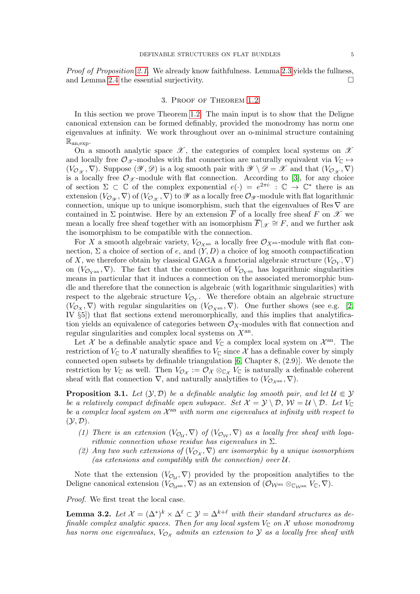Proof of Proposition [2.1.](#page-2-0) We already know faithfulness. Lemma [2.3](#page-2-4) yields the fullness, and Lemma [2.4](#page-3-2) the essential surjectivity.  $\Box$ 

#### 3. Proof of Theorem [1.2](#page-1-1)

In this section we prove Theorem [1.2.](#page-1-1) The main input is to show that the Deligne canonical extension can be formed definably, provided the monodromy has norm one eigenvalues at infinity. We work throughout over an o-minimal structure containing  $\mathbb{R}_{an,exp}$ .

On a smooth analytic space  $\mathscr X$ , the categories of complex local systems on  $\mathscr X$ and locally free  $\mathcal{O}_{\mathcal{X}}$ -modules with flat connection are naturally equivalent via  $V_{\mathbb{C}} \mapsto$  $(V_{\mathcal{O}_{\mathscr{X}}}, \nabla)$ . Suppose  $(\mathscr{Y}, \mathscr{D})$  is a log smooth pair with  $\mathscr{Y} \setminus \mathscr{D} = \mathscr{X}$  and that  $(V_{\mathcal{O}_{\mathscr{X}}}, \nabla)$ is a locally free  $\mathcal{O}_{\mathcal{X}}$ -module with flat connection. According to [\[3\]](#page-6-4), for any choice of section  $\Sigma \subset \mathbb{C}$  of the complex exponential  $e(\cdot) = e^{2\pi i \cdot \cdot} : \mathbb{C} \to \mathbb{C}^*$  there is an extension  $(V_{\mathcal{O}_{\mathscr{Y}}},\nabla)$  of  $(V_{\mathcal{O}_{\mathscr{X}}},\nabla)$  to  $\mathscr{Y}$  as a locally free  $\mathcal{O}_{\mathscr{Y}}$ -module with flat logarithmic connection, unique up to unique isomorphism, such that the eigenvalues of Res  $\nabla$  are contained in  $\Sigma$  pointwise. Here by an extension  $\overline{F}$  of a locally free sheaf F on  $\mathscr X$  we mean a locally free sheaf together with an isomorphism  $\overline{F}|_{\mathscr{X}} \cong F$ , and we further ask the isomorphism to be compatible with the connection.

For X a smooth algebraic variety,  $V_{\mathcal{O}_{X^{\text{an}}}}$  a locally free  $\mathcal{O}_{X^{\text{an}}}$ -module with flat connection,  $\Sigma$  a choice of section of e, and  $(Y, D)$  a choice of log smooth compactification of X, we therefore obtain by classical GAGA a functorial algebraic structure  $(V_{\mathcal{O}_Y}, \nabla)$ on  $(V_{\mathcal{O}_{\mathbf{V}}\text{an}}, \nabla)$ . The fact that the connection of  $V_{\mathcal{O}_{\mathbf{V}}\text{an}}$  has logarithmic singularities means in particular that it induces a connection on the associated meromorphic bundle and therefore that the connection is algebraic (with logarithmic singularities) with respect to the algebraic structure  $V_{\mathcal{O}_Y}$ . We therefore obtain an algebraic structure  $(V_{\mathcal{O}_X}, \nabla)$  with regular singularities on  $(V_{\mathcal{O}_X} \nabla)$ . One further shows (see e.g. [\[2,](#page-6-5) IV §5]) that flat sections extend meromorphically, and this implies that analytification yields an equivalence of categories between  $\mathcal{O}_X$ -modules with flat connection and regular singularities and complex local systems on  $X<sup>an</sup>$ .

Let X be a definable analytic space and  $V_{\mathbb{C}}$  a complex local system on  $\mathcal{X}^{\text{an}}$ . The restriction of  $V_{\mathbb{C}}$  to X naturally sheafifies to  $V_{\mathbb{C}}$  since X has a definable cover by simply connected open subsets by definable triangulation [\[6,](#page-6-6) Chapter 8, (2.9)]. We denote the restriction by  $V_{\mathbb{C}}$  as well. Then  $V_{\mathcal{O}_{\mathcal{X}}} := \mathcal{O}_{\mathcal{X}} \otimes_{\mathbb{C}_{\mathcal{X}}} V_{\mathbb{C}}$  is naturally a definable coherent sheaf with flat connection  $\nabla$ , and naturally analytifies to  $(V_{\mathcal{O}_{\mathcal{X}^{\mathrm{an}}}}, \nabla)$ .

<span id="page-4-3"></span>**Proposition 3.1.** Let  $(Y, \mathcal{D})$  be a definable analytic log smooth pair, and let  $\mathcal{U} \in \mathcal{Y}$ be a relatively compact definable open subspace. Set  $\mathcal{X} = \mathcal{Y} \setminus \mathcal{D}$ ,  $\mathcal{W} = \mathcal{U} \setminus \mathcal{D}$ . Let  $V_{\mathbb{C}}$ be a complex local system on  $\mathcal{X}^{\text{an}}$  with norm one eigenvalues at infinity with respect to  $(Y, \mathcal{D})$ .

- <span id="page-4-0"></span>(1) There is an extension  $(V_{\mathcal{O}_\mathcal{U}}, \nabla)$  of  $(V_{\mathcal{O}_\mathcal{W}}, \nabla)$  as a locally free sheaf with logarithmic connection whose residue has eigenvalues in  $\Sigma$ .
- <span id="page-4-1"></span>(2) Any two such extensions of  $(V_{\mathcal{O}_{\mathcal{X}}}, \nabla)$  are isomorphic by a unique isomorphism (as extensions and compatibly with the connection) over  $\mathcal{U}$ .

Note that the extension  $(V_{\mathcal{O}_{\mathcal{U}}}, \nabla)$  provided by the proposition analytifies to the Deligne canonical extension  $(V_{\mathcal{O}_{\mathcal{U}^{\mathrm{an}}}}, \nabla)$  as an extension of  $(\mathcal{O}_{\mathcal{W}^{\mathrm{an}}}\otimes_{\mathbb{C}_{\mathcal{W}^{\mathrm{an}}}}V_{\mathbb{C}}, \nabla)$ .

Proof. We first treat the local case.

<span id="page-4-2"></span>**Lemma 3.2.** Let  $\mathcal{X} = (\Delta^*)^k \times \Delta^{\ell} \subset \mathcal{Y} = \Delta^{k+\ell}$  with their standard structures as definable complex analytic spaces. Then for any local system  $V_{\mathbb{C}}$  on  $\mathcal X$  whose monodromy has norm one eigenvalues,  $V_{\mathcal{O}_{\mathcal{X}}}$  admits an extension to  $\mathcal Y$  as a locally free sheaf with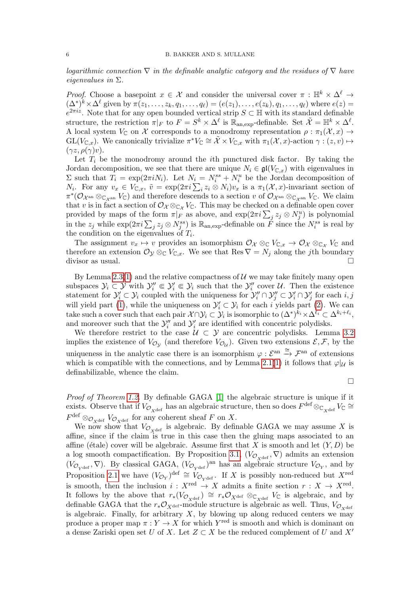logarithmic connection  $\nabla$  in the definable analytic category and the residues of  $\nabla$  have eigenvalues in  $\Sigma$ .

*Proof.* Choose a basepoint  $x \in \mathcal{X}$  and consider the universal cover  $\pi : \mathbb{H}^k \times \Delta^{\ell} \to$  $(\Delta^*)^k \times \Delta^\ell$  given by  $\pi(z_1,\ldots,z_k,q_1,\ldots,q_\ell) = (e(z_1),\ldots,e(z_k),q_1,\ldots,q_\ell)$  where  $e(z)$  $e^{2\pi i z}$ . Note that for any open bounded vertical strip  $S \subset \mathbb{H}$  with its standard definable structure, the restriction  $\pi|_F$  to  $F = S^k \times \Delta^\ell$  is  $\mathbb{R}_{\text{an,exp}}$ -definable. Set  $\tilde{\mathcal{X}} = \mathbb{H}^k \times \Delta^\ell$ . A local system  $V_{\mathbb{C}}$  on X corresponds to a monodromy representation  $\rho : \pi_1(\mathcal{X}, x) \to$  $GL(V_{\mathbb{C},x})$ . We canonically trivialize  $\pi^*V_{\mathbb{C}} \cong \tilde{\mathcal{X}} \times V_{\mathbb{C},x}$  with  $\pi_1(\mathcal{X},x)$ -action  $\gamma: (z,v) \mapsto$  $(\gamma z, \rho(\gamma)v).$ 

Let  $T_i$  be the monodromy around the *i*th punctured disk factor. By taking the Jordan decomposition, we see that there are unique  $N_i \in \mathfrak{gl}(V_{\mathbb{C},x})$  with eigenvalues in  $\Sigma$  such that  $T_i = \exp(2\pi i N_i)$ . Let  $N_i = N_i^{ss} + N_i^u$  be the Jordan decomposition of  $N_i$ . For any  $v_x \in V_{\mathbb{C},x}$ ,  $\tilde{v} = \exp(2\pi i \sum_i z_i \otimes N_i)v_x$  is a  $\pi_1(\mathcal{X},x)$ -invariant section of  $\pi^*(\mathcal{O}_{\mathcal{X}^{\rm an}} \otimes_{\mathbb{C}_{\mathcal{X}^{\rm an}}} V_{\mathbb{C}})$  and therefore descends to a section v of  $\mathcal{O}_{\mathcal{X}^{\rm an}} \otimes_{\mathbb{C}_{\mathcal{X}^{\rm an}}} V_{\mathbb{C}}$ . We claim that v is in fact a section of  $\mathcal{O}_{\mathcal{X}} \otimes_{\mathbb{C}_{\mathcal{X}}} V_{\mathbb{C}}$ . This may be checked on a definable open cover provided by maps of the form  $\pi|_F$  as above, and  $\exp(2\pi i \sum_j z_j \otimes N_j^u)$  is polynomial in the  $z_j$  while  $\exp(2\pi i \sum_j z_j \otimes N_j^{ss})$  is  $\mathbb{R}_{\text{an,exp}}$ -definable on  $\overrightarrow{F}$  since the  $N_i^{ss}$  is real by the condition on the eigenvalues of  $T_i$ .

The assignment  $v_x \mapsto v$  provides an isomorphism  $\mathcal{O}_{\mathcal{X}} \otimes_{\mathbb{C}} V_{\mathbb{C},x} \to \mathcal{O}_{\mathcal{X}} \otimes_{\mathbb{C}_{\mathcal{X}}} V_{\mathbb{C}}$  and therefore an extension  $\mathcal{O}_{\mathcal{Y}} \otimes_{\mathbb{C}} V_{\mathbb{C},x}$ . We see that  $\text{Res } \nabla = N_j$  along the jth boundary divisor as usual.

By Lemma [2.3](#page-2-4)[\(1\)](#page-2-1) and the relative compactness of  $U$  we may take finitely many open subspaces  $\mathcal{Y}_i \subset \mathcal{Y}$  with  $\mathcal{Y}_i'' \in \mathcal{Y}_i \subset \mathcal{Y}_i$  such that the  $\mathcal{Y}_i''$  cover  $\mathcal{U}$ . Then the existence statement for  $\mathcal{Y}'_i \subset \mathcal{Y}_i$  coupled with the uniqueness for  $\mathcal{Y}''_i \cap \mathcal{Y}''_j \subset \mathcal{Y}'_i \cap \mathcal{Y}'_j$  for each  $i, j$ will yield part [\(1\)](#page-4-0), while the uniqueness on  $\mathcal{Y}'_i \subset \mathcal{Y}_i$  for each i yields part [\(2\)](#page-4-1). We can take such a cover such that each pair  $\mathcal{X} \cap \mathcal{Y}_i \subset \mathcal{Y}_i$  is isomorphic to  $(\Delta^*)^{k_i} \times \Delta^{\ell_i} \subset \Delta^{k_i + \ell_i}$ , and moreover such that the  $\mathcal{Y}_i''$  and  $\mathcal{Y}_i'$  are identified with concentric polydisks.

We therefore restrict to the case  $U \subset Y$  are concentric polydisks. Lemma [3.2](#page-4-2) implies the existence of  $V_{\mathcal{O}_{\mathcal{Y}}}$  (and therefore  $V_{\mathcal{O}_{\mathcal{U}}}$ ). Given two extensions  $\mathcal{E}, \mathcal{F}$ , by the uniqueness in the analytic case there is an isomorphism  $\varphi : \mathcal{E}^{\rm an} \stackrel{\cong}{\to} \mathcal{F}^{\rm an}$  of extensions which is compatible with the connections, and by Lemma [2.1\(](#page-2-0)[1\)](#page-2-5) it follows that  $\varphi|_{\mathcal{U}}$  is definabilizable, whence the claim.

 $\Box$ 

Proof of Theorem [1.2.](#page-1-1) By definable GAGA [\[1\]](#page-6-0) the algebraic structure is unique if it exists. Observe that if  $V_{\mathcal{O}_{X^{\text{def}}}}$  has an algebraic structure, then so does  $F^{\text{def}} \otimes_{\mathbb{C}_{X^{\text{def}}}} V_{\mathbb{C}} \cong$  $F^{\text{def}} \otimes_{\mathcal{O}_{X^{\text{def}}}} V_{\mathcal{O}_{X^{\text{def}}}}$  for any coherent sheaf F on X.

We now show that  $V_{\mathcal{O}_{\mathbf{v} \text{def}}}$  is algebraic. By definable GAGA we may assume X is affine, since if the claim is true in this case then the gluing maps associated to an affine (étale) cover will be algebraic. Assume first that X is smooth and let  $(Y, D)$  be a log smooth compactification. By Proposition [3.1,](#page-4-3)  $(V_{\mathcal{O}_{X^{\mathrm{def}}}}, \nabla)$  admits an extension  $(V_{\mathcal{O}_{Y^{\text{def}}}}, \nabla)$ . By classical GAGA,  $(V_{\mathcal{O}_{Y^{\text{def}}}})^{\text{an}}$  has an algebraic structure  $V_{\mathcal{O}_{Y}}$ , and by Proposition [2.1](#page-2-0) we have  $(V_{\mathcal{O}_Y})^{\text{def}} \cong V_{\mathcal{O}_{Y^{\text{def}}}}$ . If X is possibly non-reduced but  $X^{\text{red}}$ is smooth, then the inclusion  $i: X^{\text{red}} \to X$  admits a finite section  $r: X \to X^{\text{red}}$ . It follows by the above that  $r_*(V_{\mathcal{O}_{X^{\text{def}}}}) \cong r_*\mathcal{O}_{X^{\text{def}}}\otimes_{\mathbb{C}_{X^{\text{def}}}} V_{\mathbb{C}}$  is algebraic, and by definable GAGA that the  $r_*\mathcal{O}_{X^{\text{def}}}$ -module structure is algebraic as well. Thus,  $V_{\mathcal{O}_{X^{\text{def}}}}$ is algebraic. Finally, for arbitrary X, by blowing up along reduced centers we may produce a proper map  $\pi: Y \to X$  for which  $Y^{\text{red}}$  is smooth and which is dominant on a dense Zariski open set U of X. Let  $Z \subset X$  be the reduced complement of U and X'